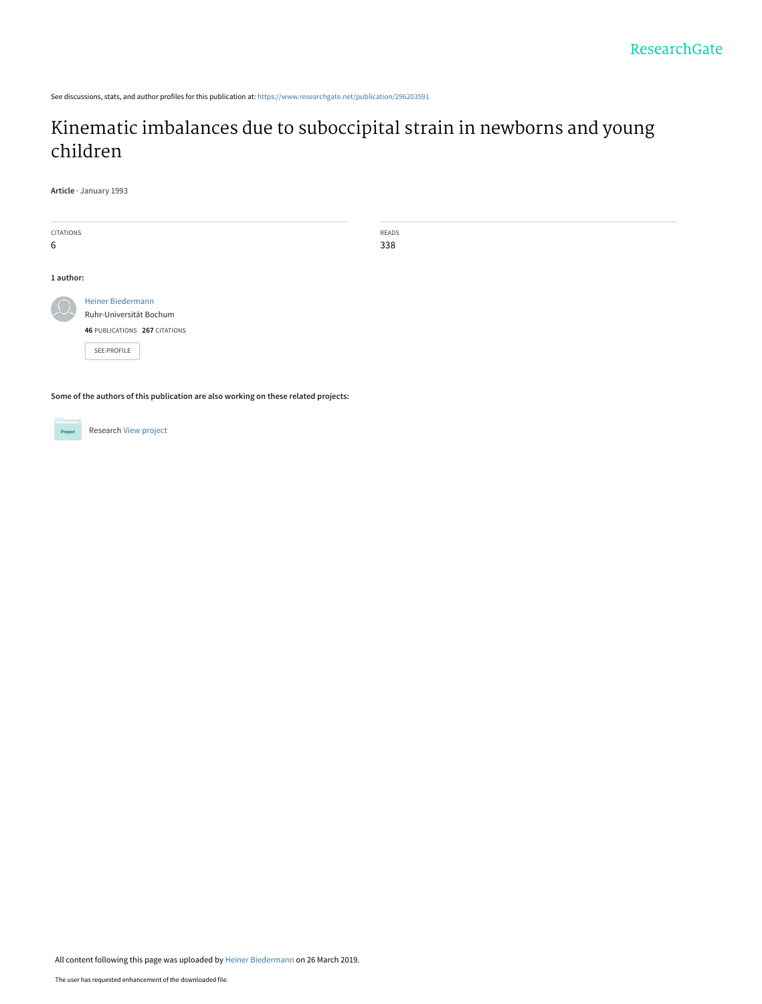See discussions, stats, and author profiles for this publication at: [https://www.researchgate.net/publication/296203591](https://www.researchgate.net/publication/296203591_Kinematic_imbalances_due_to_suboccipital_strain_in_newborns_and_young_children?enrichId=rgreq-64e1f136f953bd09b603accc02375e79-XXX&enrichSource=Y292ZXJQYWdlOzI5NjIwMzU5MTtBUzo3NDA3MTY2MDcyMDEyODBAMTU1MzYxMjAwOTA0OA%3D%3D&el=1_x_2&_esc=publicationCoverPdf)

# [Kinematic imbalances due to suboccipital strain in newborns and young](https://www.researchgate.net/publication/296203591_Kinematic_imbalances_due_to_suboccipital_strain_in_newborns_and_young_children?enrichId=rgreq-64e1f136f953bd09b603accc02375e79-XXX&enrichSource=Y292ZXJQYWdlOzI5NjIwMzU5MTtBUzo3NDA3MTY2MDcyMDEyODBAMTU1MzYxMjAwOTA0OA%3D%3D&el=1_x_3&_esc=publicationCoverPdf) children

**Article** · January 1993

| <b>CITATIONS</b> |                               | <b>READS</b> |  |
|------------------|-------------------------------|--------------|--|
| 6                |                               | 338          |  |
|                  |                               |              |  |
| 1 author:        |                               |              |  |
|                  | <b>Heiner Biedermann</b>      |              |  |
|                  | Ruhr-Universität Bochum       |              |  |
|                  | 46 PUBLICATIONS 267 CITATIONS |              |  |
|                  | <b>SEE PROFILE</b>            |              |  |

**Some of the authors of this publication are also working on these related projects:**

Research [View project](https://www.researchgate.net/project/Research-1014?enrichId=rgreq-64e1f136f953bd09b603accc02375e79-XXX&enrichSource=Y292ZXJQYWdlOzI5NjIwMzU5MTtBUzo3NDA3MTY2MDcyMDEyODBAMTU1MzYxMjAwOTA0OA%3D%3D&el=1_x_9&_esc=publicationCoverPdf)

All content following this page was uploaded by [Heiner Biedermann](https://www.researchgate.net/profile/Heiner_Biedermann?enrichId=rgreq-64e1f136f953bd09b603accc02375e79-XXX&enrichSource=Y292ZXJQYWdlOzI5NjIwMzU5MTtBUzo3NDA3MTY2MDcyMDEyODBAMTU1MzYxMjAwOTA0OA%3D%3D&el=1_x_10&_esc=publicationCoverPdf) on 26 March 2019.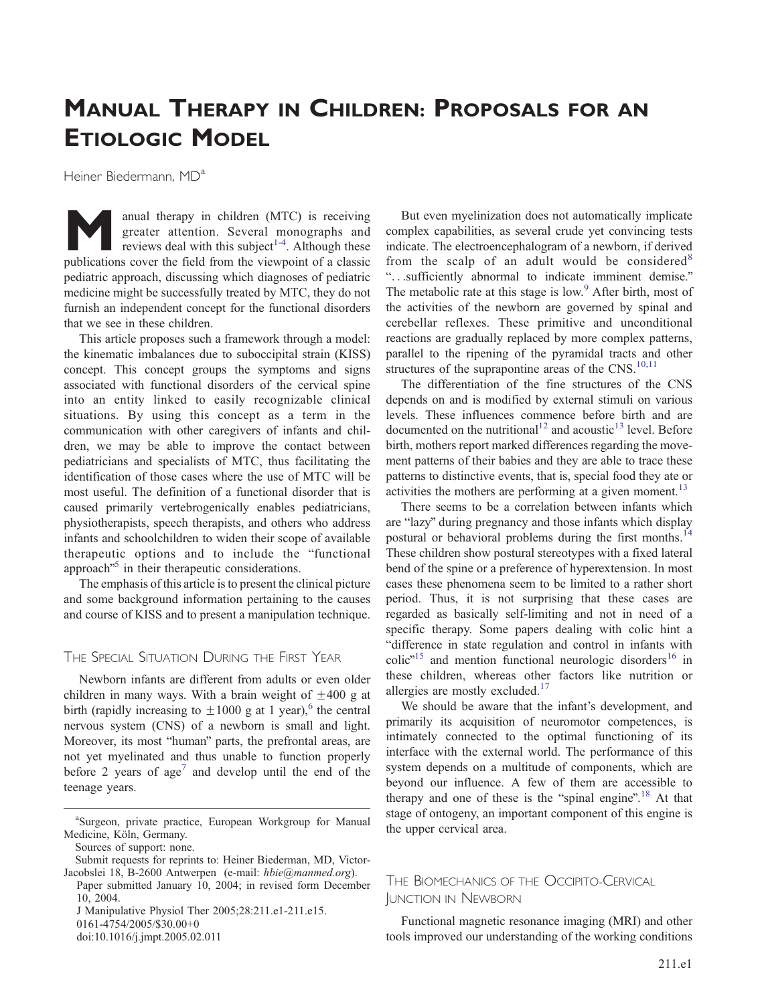# MANUAL THERAPY IN CHILDREN: PROPOSALS FOR AN ETIOLOGIC MODEL

Heiner Biedermann, MD<sup>a</sup>

anual therapy in children (MTC) is receiving greater attention. Several monographs and reviews deal with this subject<sup>1-4</sup>. Although these publications cover the field from the viewpoint of a classic greater attention. Several monographs and reviews deal with this subject<sup>1-4</sup>. Although these pediatric approach, discussing which diagnoses of pediatric medicine might be successfully treated by MTC, they do not furnish an independent concept for the functional disorders that we see in these children.

This article proposes such a framework through a model: the kinematic imbalances due to suboccipital strain (KISS) concept. This concept groups the symptoms and signs associated with functional disorders of the cervical spine into an entity linked to easily recognizable clinical situations. By using this concept as a term in the communication with other caregivers of infants and children, we may be able to improve the contact between pediatricians and specialists of MTC, thus facilitating the identification of those cases where the use of MTC will be most useful. The definition of a functional disorder that is caused primarily vertebrogenically enables pediatricians, physiotherapists, speech therapists, and others who address infants and schoolchildren to widen their scope of available therapeu[tic](#page-13-0) options and to include the "functional approach"<sup>5</sup> in their therapeutic considerations.

The emphasis of this article is to present the clinical picture and some background information pertaining to the causes and course of KISS and to present a manipulation technique.

THE SPECIAL SITUATION DURING THE FIRST YEAR

Newborn infants are different from adults or even older children in many ways. With a brain weight of  $\pm 400$  g at bir[th](#page-13-0) (rapidly increasing to  $\pm 1000$  g at 1 year),<sup>6</sup> the central nervous system (CNS) of a newborn is small and light. Moreover, its most "human" parts, the prefrontal areas, are not yet myelinated a[nd](#page-13-0) thus unable to function properly before 2 years of age<sup>7</sup> and develop until the end of the teenage years.

Paper submitted January 10, 2004; in revised form December 10, 2004.

J Manipulative Physiol Ther 2005;28:211.e1-211.e15.

0161-4754/2005/\$30.00+0

doi:10.1016/j.jmpt.2005.02.011

But even myelinization does not automatically implicate complex capabilities, as several crude yet convincing tests indicate. The electroencephalogram of a newborn, if derived from the scalp of an adult would be considered<sup>[8](#page-13-0)</sup> "...sufficiently abnormal to indicate imminent demise." The metabolic rate at this stage is low.<sup>9</sup> After birth, most of the activities of the newborn are [governe](#page-13-0)d by spinal and cerebellar reflexes. These primitive and unconditional reactions are gradually replaced by more complex patterns, parallel to the ripening of the pyramidal tracts and other structures of the suprapontine areas of the CNS. $^{10,11}$  $^{10,11}$  $^{10,11}$ 

The differentiation of the fine structures of the CNS depends on and is modified by external stimuli on various levels. These influences commence before birth and are documented on the nutritional<sup>[12](#page-13-0)</sup> and acou[stic](#page-13-0)<sup>13</sup> level. Before birth, mothers report marked differences regarding the movement patterns of their babies and they are able to trace these patterns to distinctive events, that is, special food they ate or activities the mothers are performing at a given moment.<sup>[13](#page-13-0)</sup>

There seems to be a correlation between infants which are "lazy" during pregnancy and those infants which di[splay](#page-13-0) postural or behavioral problems during the first months.<sup>14</sup> These children show postural stereotypes with a fixed lateral bend of the spine or a preference of hyperextension. In most cases these phenomena seem to be limited to a rather short period. Thus, it is not surprising that these cases are regarded as basically self-limiting and not in need of a specific therapy. Some papers dealing with colic hint a "difference in state regulation and control in infants with colic<sup>"15</sup> [an](#page-13-0)d mention functional neurologic disorde[rs](#page-13-0)<sup>16</sup> in these children, whereas other factors like nutrition or allergies are mostly exclude[d.](#page-13-0)<sup>17</sup>

We should be aware that the infant's development, and primarily its acquisition of neuromotor competences, is intimately connected to the optimal functioning of its interface with the external world. The performance of this system depends on a multitude of components, which are beyond our influence. A few of them are accessible to therapy and one of these is the "spinal engine".<sup>18</sup> [At](#page-13-0) that stage of ontogeny, an important component of this engine is the upper cervical area.

THE BIOMECHANICS OF THE OCCIPITO-CERVICAL JUNCTION IN NEWBORN

Functional magnetic resonance imaging (MRI) and other tools improved our understanding of the working conditions

<sup>&</sup>lt;sup>a</sup>Surgeon, private practice, European Workgroup for Manual Medicine, Köln, Germany.

Sources of support: none.

Submit requests for reprints to: Heiner Biederman, MD, Victor-Jacobslei 18, B-2600 Antwerpen (e-mail: hbie@manmed.org).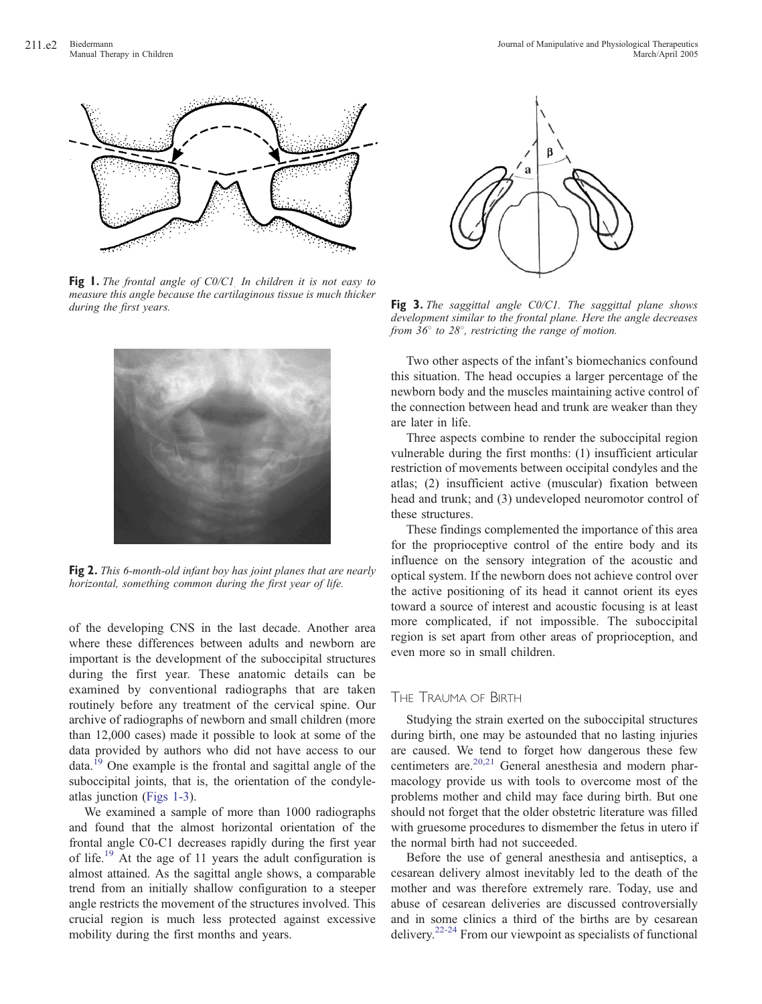

Fig 1. The frontal angle of C0/C1. In children it is not easy to measure this angle because the cartilaginous tissue is much thicker during the first years.



Fig 2. This 6-month-old infant boy has joint planes that are nearly horizontal, something common during the first year of life.

of the developing CNS in the last decade. Another area where these differences between adults and newborn are important is the development of the suboccipital structures during the first year. These anatomic details can be examined by conventional radiographs that are taken routinely before any treatment of the cervical spine. Our archive of radiographs of newborn and small children (more than 12,000 cases) made it possible to look at some of the data provided by authors who did not have access to our data.[19](#page-13-0) One example is the frontal and sagittal angle of the suboccipital joints, that is, the orientation of the condyleatlas junction (Figs 1-3).

We examined a sample of more than 1000 radiographs and found that the almost horizontal orientation of the frontal angle C0-C1 decreases rapidly during the first year of life.<sup>19</sup> [At](#page-13-0) the age of 11 years the adult configuration is almost attained. As the sagittal angle shows, a comparable trend from an initially shallow configuration to a steeper angle restricts the movement of the structures involved. This crucial region is much less protected against excessive mobility during the first months and years.



Fig 3. The saggittal angle  $C_0/C_1$ . The saggittal plane shows development similar to the frontal plane. Here the angle decreases from 36 $\degree$  to 28 $\degree$ , restricting the range of motion.

Two other aspects of the infant's biomechanics confound this situation. The head occupies a larger percentage of the newborn body and the muscles maintaining active control of the connection between head and trunk are weaker than they are later in life.

Three aspects combine to render the suboccipital region vulnerable during the first months: (1) insufficient articular restriction of movements between occipital condyles and the atlas; (2) insufficient active (muscular) fixation between head and trunk; and (3) undeveloped neuromotor control of these structures.

These findings complemented the importance of this area for the proprioceptive control of the entire body and its influence on the sensory integration of the acoustic and optical system. If the newborn does not achieve control over the active positioning of its head it cannot orient its eyes toward a source of interest and acoustic focusing is at least more complicated, if not impossible. The suboccipital region is set apart from other areas of proprioception, and even more so in small children.

## THE TRAUMA OF BIRTH

Studying the strain exerted on the suboccipital structures during birth, one may be astounded that no lasting injuries are caused. We tend to forget how dangerous these few centimeters are. $20,21$  General anesthesia and modern pharmacology provide us with tools to overcome most of the problems mother and child may face during birth. But one should not forget that the older obstetric literature was filled with gruesome procedures to dismember the fetus in utero if the normal birth had not succeeded.

Before the use of general anesthesia and antiseptics, a cesarean delivery almost inevitably led to the death of the mother and was therefore extremely rare. Today, use and abuse of cesarean deliveries are discussed controversially and in some clinics a third of the births are by cesarean delivery.[22-24](#page-13-0) From our viewpoint as specialists of functional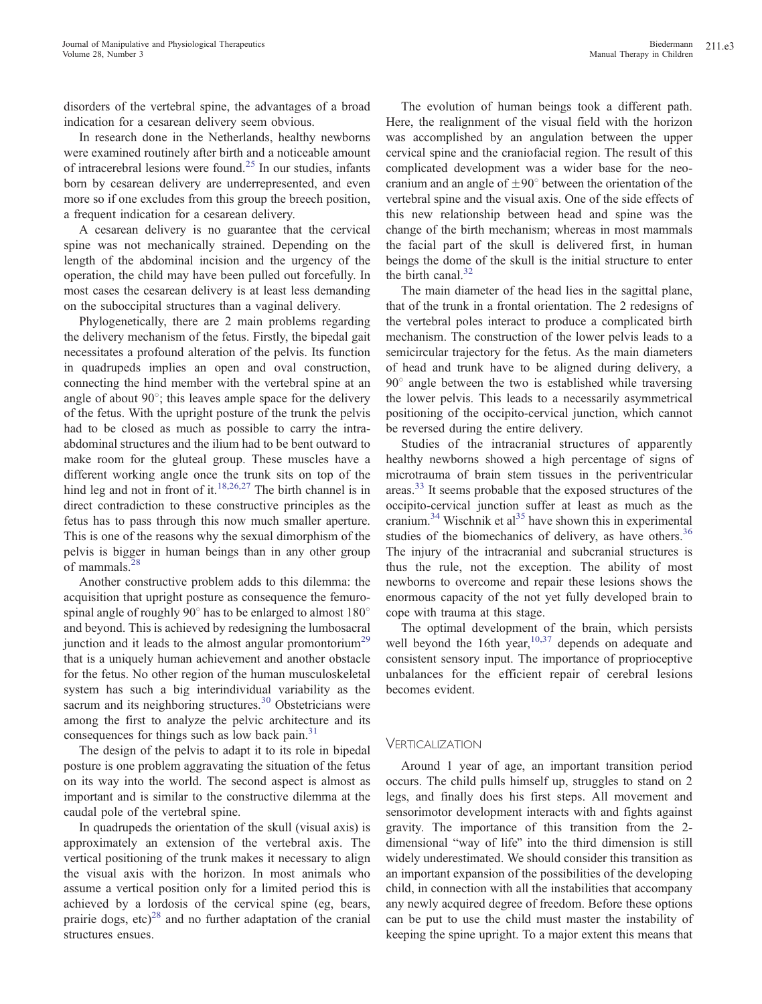Biedermann Manual Therapy in Children 211.e3

disorders of the vertebral spine, the advantages of a broad indication for a cesarean delivery seem obvious.

In research done in the Netherlands, healthy newborns were examined routinely after birth and a noticeable amount of intracerebral lesions were found.<sup>[25](#page-13-0)</sup> In our studies, infants born by cesarean delivery are underrepresented, and even more so if one excludes from this group the breech position, a frequent indication for a cesarean delivery.

A cesarean delivery is no guarantee that the cervical spine was not mechanically strained. Depending on the length of the abdominal incision and the urgency of the operation, the child may have been pulled out forcefully. In most cases the cesarean delivery is at least less demanding on the suboccipital structures than a vaginal delivery.

Phylogenetically, there are 2 main problems regarding the delivery mechanism of the fetus. Firstly, the bipedal gait necessitates a profound alteration of the pelvis. Its function in quadrupeds implies an open and oval construction, connecting the hind member with the vertebral spine at an angle of about  $90^\circ$ ; this leaves ample space for the delivery of the fetus. With the upright posture of the trunk the pelvis had to be closed as much as possible to carry the intraabdominal structures and the ilium had to be bent outward to make room for the gluteal group. These muscles have a different working angle once the trunk sits on top of the hind leg and not in front of it.<sup>[18,26,27](#page-13-0)</sup> The birth channel is in direct contradiction to these constructive principles as the fetus has to pass through this now much smaller aperture. This is one of the reasons why the sexual dimorphism of the pelvis is bigger in human beings than in any other group of mammals.<sup>[28](#page-13-0)</sup>

Another constructive problem adds to this dilemma: the acquisition that upright posture as consequence the femurospinal angle of roughly  $90^\circ$  has to be enlarged to almost  $180^\circ$ and beyond. This is achieved by redesigning the lumbosacral junction and it leads to the almost angular promontorium<sup>[29](#page-13-0)</sup> that is a uniquely human achievement and another obstacle for the fetus. No other region of the human musculoskeletal system has such a big interindivid[ual](#page-13-0) variability as the sacrum and its neighboring structures.<sup>30</sup> Obstetricians were among the first to analyze the pelvic archit[ecture](#page-13-0) and its consequences for things such as low back pain. $31$ 

The design of the pelvis to adapt it to its role in bipedal posture is one problem aggravating the situation of the fetus on its way into the world. The second aspect is almost as important and is similar to the constructive dilemma at the caudal pole of the vertebral spine.

In quadrupeds the orientation of the skull (visual axis) is approximately an extension of the vertebral axis. The vertical positioning of the trunk makes it necessary to align the visual axis with the horizon. In most animals who assume a vertical position only for a limited period this is achieved by a lordosis of the cervical spine (eg, bears, prairie dogs,  $\text{etc.}$ <sup>[28](#page-13-0)</sup> and no further adaptation of the cranial structures ensues.

The evolution of human beings took a different path. Here, the realignment of the visual field with the horizon was accomplished by an angulation between the upper cervical spine and the craniofacial region. The result of this complicated development was a wider base for the neocranium and an angle of  $\pm 90^{\circ}$  between the orientation of the vertebral spine and the visual axis. One of the side effects of this new relationship between head and spine was the change of the birth mechanism; whereas in most mammals the facial part of the skull is delivered first, in human beings the dome of the skull is the initial structure to enter the birth can[al.](#page-13-0) $32$ 

The main diameter of the head lies in the sagittal plane, that of the trunk in a frontal orientation. The 2 redesigns of the vertebral poles interact to produce a complicated birth mechanism. The construction of the lower pelvis leads to a semicircular trajectory for the fetus. As the main diameters of head and trunk have to be aligned during delivery, a  $90^\circ$  angle between the two is established while traversing the lower pelvis. This leads to a necessarily asymmetrical positioning of the occipito-cervical junction, which cannot be reversed during the entire delivery.

Studies of the intracranial structures of apparently healthy newborns showed a high percentage of signs of microtrauma of brain stem tissues in the periventricular areas.<sup>[33](#page-13-0)</sup> It seems probable that the exposed structures of the occipito-cervical junction suffer at least as much as the craniu[m.](#page-13-0)<sup>34</sup> Wischnik et [al](#page-13-0)<sup>35</sup> have shown this in experimental studies of the biomechanics of delivery, as have others.<sup>[36](#page-13-0)</sup> The injury of the intracranial and subcranial structures is thus the rule, not the exception. The ability of most newborns to overcome and repair these lesions shows the enormous capacity of the not yet fully developed brain to cope with trauma at this stage.

The optimal development of the brain, which persists well beyond the 16th year,  $\frac{10,37}{9}$  $\frac{10,37}{9}$  $\frac{10,37}{9}$  depends on adequate and consistent sensory input. The importance of proprioceptive unbalances for the efficient repair of cerebral lesions becomes evident.

## VERTICALIZATION

Around 1 year of age, an important transition period occurs. The child pulls himself up, struggles to stand on 2 legs, and finally does his first steps. All movement and sensorimotor development interacts with and fights against gravity. The importance of this transition from the 2 dimensional "way of life" into the third dimension is still widely underestimated. We should consider this transition as an important expansion of the possibilities of the developing child, in connection with all the instabilities that accompany any newly acquired degree of freedom. Before these options can be put to use the child must master the instability of keeping the spine upright. To a major extent this means that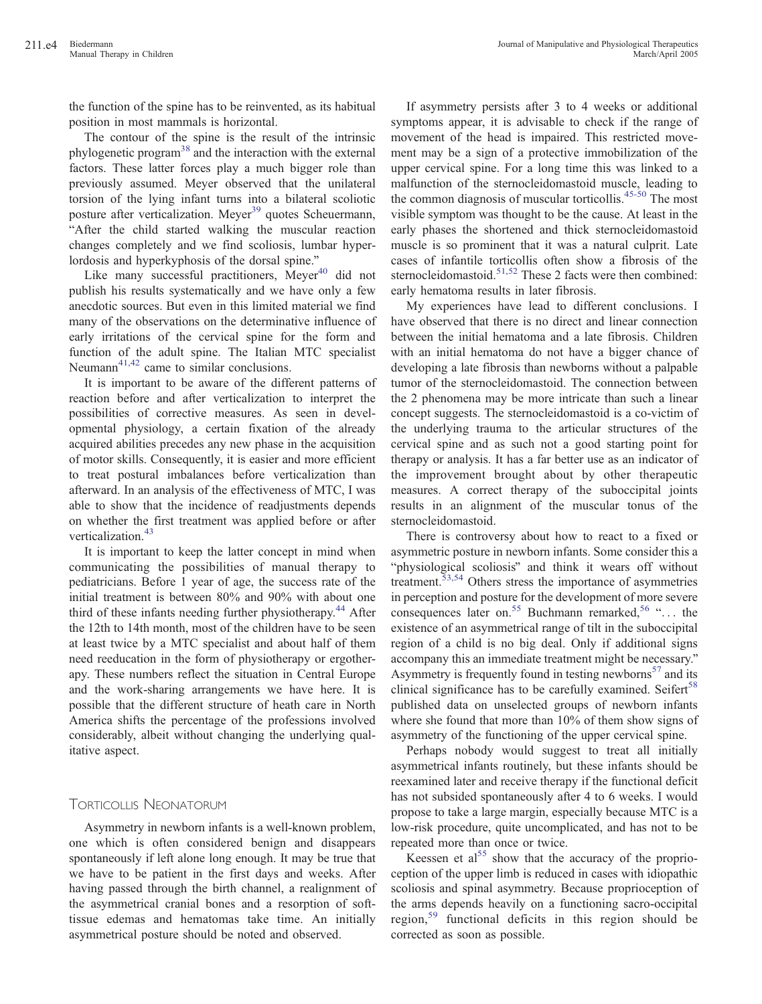the function of the spine has to be reinvented, as its habitual position in most mammals is horizontal.

The contour of the spine is the result of the intrinsic phylogenetic program<sup>[38](#page-13-0)</sup> and the interaction with the external factors. These latter forces play a much bigger role than previously assumed. Meyer observed that the unilateral torsion of the lying infant turns into a bilateral scoliotic posture after verticalization. Meyer<sup>[39](#page-13-0)</sup> quotes Scheuermann, "After the child started walking the muscular reaction changes completely and we find scoliosis, lumbar hyperlordosis and hyperkyphosis of the dorsal spine."

Like many successful practitioners, Meyer<sup>[40](#page-13-0)</sup> did not publish his results systematically and we have only a few anecdotic sources. But even in this limited material we find many of the observations on the determinative influence of early irritations of the cervical spine for the form and function of the adult spine. The Italian MTC specialist Neumann<sup> $41,42$ </sup> came to similar conclusions.

It is important to be aware of the different patterns of reaction before and after verticalization to interpret the possibilities of corrective measures. As seen in developmental physiology, a certain fixation of the already acquired abilities precedes any new phase in the acquisition of motor skills. Consequently, it is easier and more efficient to treat postural imbalances before verticalization than afterward. In an analysis of the effectiveness of MTC, I was able to show that the incidence of readjustments depends on whether t[he fi](#page-13-0)rst treatment was applied before or after verticalization.<sup>43</sup>

It is important to keep the latter concept in mind when communicating the possibilities of manual therapy to pediatricians. Before 1 year of age, the success rate of the initial treatment is between 80% and 90% with about one third of these infants needing further physiotherapy.<sup>[44](#page-13-0)</sup> After the 12th to 14th month, most of the children have to be seen at least twice by a MTC specialist and about half of them need reeducation in the form of physiotherapy or ergotherapy. These numbers reflect the situation in Central Europe and the work-sharing arrangements we have here. It is possible that the different structure of heath care in North America shifts the percentage of the professions involved considerably, albeit without changing the underlying qualitative aspect.

## TORTICOLLIS NEONATORUM

Asymmetry in newborn infants is a well-known problem, one which is often considered benign and disappears spontaneously if left alone long enough. It may be true that we have to be patient in the first days and weeks. After having passed through the birth channel, a realignment of the asymmetrical cranial bones and a resorption of softtissue edemas and hematomas take time. An initially asymmetrical posture should be noted and observed.

If asymmetry persists after 3 to 4 weeks or additional symptoms appear, it is advisable to check if the range of movement of the head is impaired. This restricted movement may be a sign of a protective immobilization of the upper cervical spine. For a long time this was linked to a malfunction of the sternocleidomastoid muscle, leading to the common diagnosis of muscular torticollis.<sup>[45-50](#page-13-0)</sup> The most visible symptom was thought to be the cause. At least in the early phases the shortened and thick sternocleidomastoid muscle is so prominent that it was a natural culprit. Late cases of infantile torticollis often show a fibrosis of the sternocleidomastoid.<sup>[51,52](#page-14-0)</sup> These 2 facts were then combined: early hematoma results in later fibrosis.

My experiences have lead to different conclusions. I have observed that there is no direct and linear connection between the initial hematoma and a late fibrosis. Children with an initial hematoma do not have a bigger chance of developing a late fibrosis than newborns without a palpable tumor of the sternocleidomastoid. The connection between the 2 phenomena may be more intricate than such a linear concept suggests. The sternocleidomastoid is a co-victim of the underlying trauma to the articular structures of the cervical spine and as such not a good starting point for therapy or analysis. It has a far better use as an indicator of the improvement brought about by other therapeutic measures. A correct therapy of the suboccipital joints results in an alignment of the muscular tonus of the sternocleidomastoid.

There is controversy about how to react to a fixed or asymmetric posture in newborn infants. Some consider this a "physiological scoliosis" and think it wears off without treatment.[53,54](#page-14-0) Others stress the importance of asymmetries in perception and posture for the development of more severe consequences later [on.](#page-14-0)<sup>55</sup> Buchmann remark[ed,](#page-14-0)<sup>56</sup>  $\ldots$  the existence of an asymmetrical range of tilt in the suboccipital region of a child is no big deal. Only if additional signs accompany this an immediate treatment might be necessary." Asymmetry is frequently found in testing newbor[ns](#page-14-0)<sup>57</sup> and [its](#page-14-0) clinical significance has to be carefully examined. Seifert<sup>58</sup> published data on unselected groups of newborn infants where she found that more than 10% of them show signs of asymmetry of the functioning of the upper cervical spine.

Perhaps nobody would suggest to treat all initially asymmetrical infants routinely, but these infants should be reexamined later and receive therapy if the functional deficit has not subsided spontaneously after 4 to 6 weeks. I would propose to take a large margin, especially because MTC is a low-risk procedure, quite uncomplicated, and has not to be repeated more than once or twice.

Keessen et  $a^{55}$  show that the accuracy of the proprioception of the upper limb is reduced in cases with idiopathic scoliosis and spinal asymmetry. Because proprioception of the arms depends heavily on a functioning sacro-occipital region,<sup>[59](#page-14-0)</sup> functional deficits in this region should be corrected as soon as possible.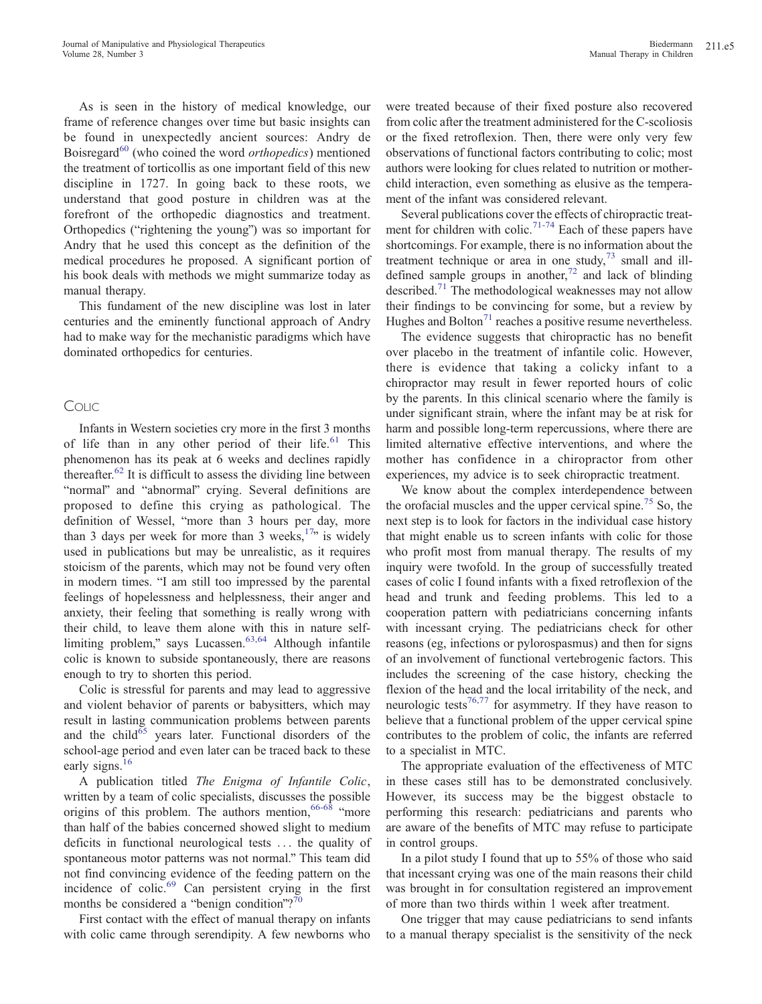As is seen in the history of medical knowledge, our frame of reference changes over time but basic insights can be found in unexpectedly ancient sources: Andry de Boisrega[rd](#page-14-0)<sup>60</sup> (who coined the word *orthopedics*) mentioned the treatment of torticollis as one important field of this new discipline in 1727. In going back to these roots, we understand that good posture in children was at the forefront of the orthopedic diagnostics and treatment. Orthopedics ("rightening the young") was so important for Andry that he used this concept as the definition of the medical procedures he proposed. A significant portion of his book deals with methods we might summarize today as manual therapy.

This fundament of the new discipline was lost in later centuries and the eminently functional approach of Andry had to make way for the mechanistic paradigms which have dominated orthopedics for centuries.

## COLIC

Infants in Western societies cry more in the first [3 mo](#page-14-0)nths of life than in any other period of their life.<sup>61</sup> This phenom[enon](#page-14-0) has its peak at 6 weeks and declines rapidly thereafter. $62$  It is difficult to assess the dividing line between "normal" and "abnormal" crying. Several definitions are proposed to define this crying as pathological. The definition of Wessel, "more than 3 hours per day, more than 3 days per week for more than 3 weeks,<sup>17</sup> is widely used in publications but may be unrealistic, as it requires stoicism of the parents, which may not be found very often in modern times. "I am still too impressed by the parental feelings of hopelessness and helplessness, their anger and anxiety, their feeling that something is really wrong with their child, to leave them alone with this in nature selflimiting problem," says Lucassen. $63,64$  Although infantile colic is known to subside spontaneously, there are reasons enough to try to shorten this period.

Colic is stressful for parents and may lead to aggressive and violent behavior of parents or babysitters, which may result in las[ting co](#page-14-0)mmunication problems between parents and the child<sup>65</sup> years later. Functional disorders of the school-age period and even later can be traced back to these early signs.<sup>[16](#page-13-0)</sup>

A publication titled The Enigma of Infantile Colic, written by a team of colic specialists, discusses the possible origins of this problem. The authors mention,  $66-68$  "more than half of the babies concerned showed slight to medium deficits in functional neurological tests ... the quality of spontaneous motor patterns was not normal." This team did not find convincing evidence of the feeding pattern on the incidence of colic.[69](#page-14-0) Can persistent crying in the first months be considered a "benign condition"? $\overline{70}$  $\overline{70}$  $\overline{70}$ 

First contact with the effect of manual therapy on infants with colic came through serendipity. A few newborns who were treated because of their fixed posture also recovered from colic after the treatment administered for the C-scoliosis or the fixed retroflexion. Then, there were only very few observations of functional factors contributing to colic; most authors were looking for clues related to nutrition or motherchild interaction, even something as elusive as the temperament of the infant was considered relevant.

Several publications cover the effects of chiropractic treat-ment for children with colic.<sup>[71-74](#page-14-0)</sup> Each of these papers have shortcomings. For example, there is no information about the treatment technique or area in one stu[dy,](#page-14-0)<sup>73</sup> small and illdefined [sampl](#page-14-0)e groups in anoth[er,](#page-14-0)<sup>72</sup> and lack of blinding described.<sup>71</sup> The methodological weaknesses may not allow their findings to be convincing for some, but a review by Hughes and Bolton<sup>[71](#page-14-0)</sup> reaches a positive resume nevertheless.

The evidence suggests that chiropractic has no benefit over placebo in the treatment of infantile colic. However, there is evidence that taking a colicky infant to a chiropractor may result in fewer reported hours of colic by the parents. In this clinical scenario where the family is under significant strain, where the infant may be at risk for harm and possible long-term repercussions, where there are limited alternative effective interventions, and where the mother has confidence in a chiropractor from other experiences, my advice is to seek chiropractic treatment.

We know about the complex interdependence between the orofacial muscles and the upper cervical spine.<sup>75</sup> [So](#page-14-0), the next step is to look for factors in the individual case history that might enable us to screen infants with colic for those who profit most from manual therapy. The results of my inquiry were twofold. In the group of successfully treated cases of colic I found infants with a fixed retroflexion of the head and trunk and feeding problems. This led to a cooperation pattern with pediatricians concerning infants with incessant crying. The pediatricians check for other reasons (eg, infections or pylorospasmus) and then for signs of an involvement of functional vertebrogenic factors. This includes the screening of the case history, checking the flexion of the head and the local irritability of the neck, and neurologic tests<sup>76,77</sup> for asymmetry. If they have reason to believe that a functional problem of the upper cervical spine contributes to the problem of colic, the infants are referred to a specialist in MTC.

The appropriate evaluation of the effectiveness of MTC in these cases still has to be demonstrated conclusively. However, its success may be the biggest obstacle to performing this research: pediatricians and parents who are aware of the benefits of MTC may refuse to participate in control groups.

In a pilot study I found that up to 55% of those who said that incessant crying was one of the main reasons their child was brought in for consultation registered an improvement of more than two thirds within 1 week after treatment.

One trigger that may cause pediatricians to send infants to a manual therapy specialist is the sensitivity of the neck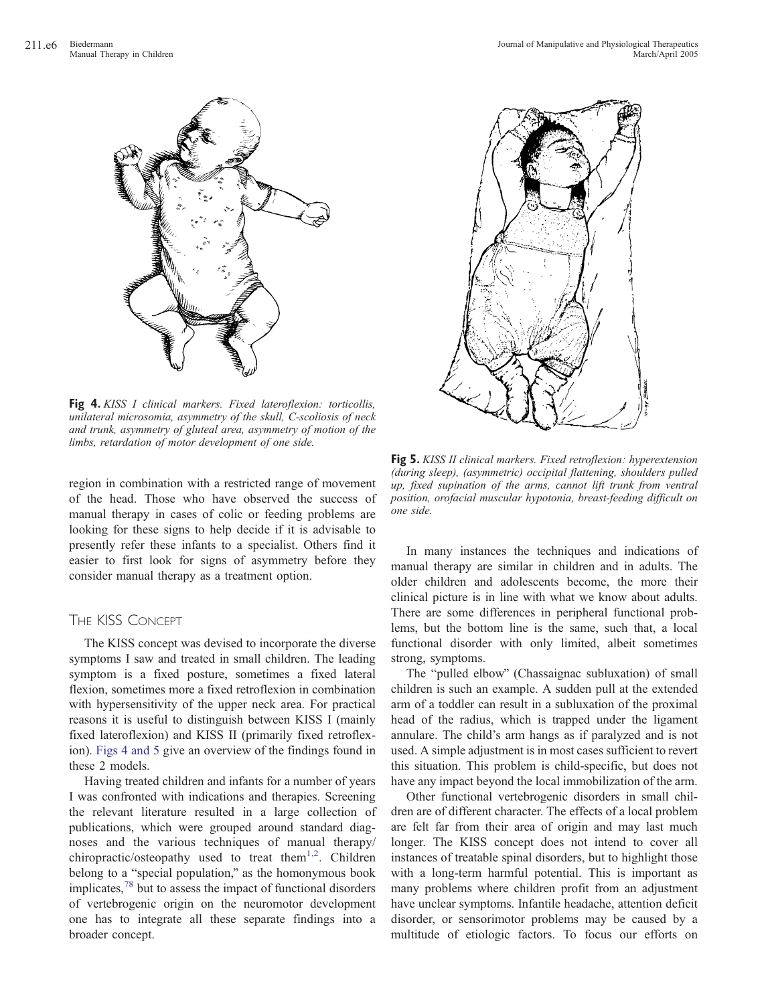

Fig 4. KISS I clinical markers. Fixed lateroflexion: torticollis, unilateral microsomia, asymmetry of the skull, C-scoliosis of neck and trunk, asymmetry of gluteal area, asymmetry of motion of the limbs, retardation of motor development of one side.

region in combination with a restricted range of movement of the head. Those who have observed the success of manual therapy in cases of colic or feeding problems are looking for these signs to help decide if it is advisable to presently refer these infants to a specialist. Others find it easier to first look for signs of asymmetry before they consider manual therapy as a treatment option.

## THE KISS CONCEPT

The KISS concept was devised to incorporate the diverse symptoms I saw and treated in small children. The leading symptom is a fixed posture, sometimes a fixed lateral flexion, sometimes more a fixed retroflexion in combination with hypersensitivity of the upper neck area. For practical reasons it is useful to distinguish between KISS I (mainly fixed lateroflexion) and KISS II (primarily fixed retroflexion). Figs 4 and 5 give an overview of the findings found in these 2 models.

Having treated children and infants for a number of years I was confronted with indications and therapies. Screening the relevant literature resulted in a large collection of publications, which were grouped around standard diagnoses and the various techniques of manual therapy/ chiropractic/osteopathy used to treat them<sup>1,2</sup>. Children belong to a "special population," as the homonymous book implicates,<sup>78</sup> [but](#page-14-0) to assess the impact of functional disorders of vertebrogenic origin on the neuromotor development one has to integrate all these separate findings into a broader concept.



Fig 5. KISS II clinical markers. Fixed retroflexion: hyperextension (during sleep), (asymmetric) occipital flattening, shoulders pulled up, fixed supination of the arms, cannot lift trunk from ventral position, orofacial muscular hypotonia, breast-feeding difficult on one side.

In many instances the techniques and indications of manual therapy are similar in children and in adults. The older children and adolescents become, the more their clinical picture is in line with what we know about adults. There are some differences in peripheral functional problems, but the bottom line is the same, such that, a local functional disorder with only limited, albeit sometimes strong, symptoms.

The "pulled elbow" (Chassaignac subluxation) of small children is such an example. A sudden pull at the extended arm of a toddler can result in a subluxation of the proximal head of the radius, which is trapped under the ligament annulare. The child's arm hangs as if paralyzed and is not used. A simple adjustment is in most cases sufficient to revert this situation. This problem is child-specific, but does not have any impact beyond the local immobilization of the arm.

Other functional vertebrogenic disorders in small children are of different character. The effects of a local problem are felt far from their area of origin and may last much longer. The KISS concept does not intend to cover all instances of treatable spinal disorders, but to highlight those with a long-term harmful potential. This is important as many problems where children profit from an adjustment have unclear symptoms. Infantile headache, attention deficit disorder, or sensorimotor problems may be caused by a multitude of etiologic factors. To focus our efforts on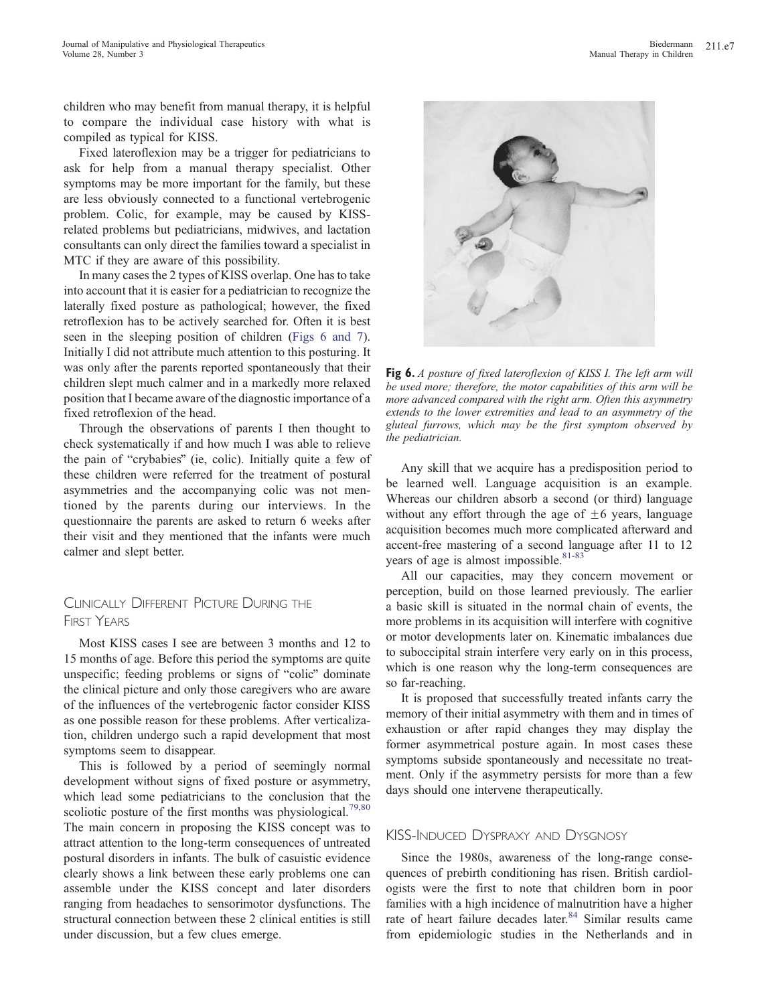children who may benefit from manual therapy, it is helpful to compare the individual case history with what is compiled as typical for KISS.

Fixed lateroflexion may be a trigger for pediatricians to ask for help from a manual therapy specialist. Other symptoms may be more important for the family, but these are less obviously connected to a functional vertebrogenic problem. Colic, for example, may be caused by KISSrelated problems but pediatricians, midwives, and lactation consultants can only direct the families toward a specialist in MTC if they are aware of this possibility.

In many cases the 2 types of KISS overlap. One has to take into account that it is easier for a pediatrician to recognize the laterally fixed posture as pathological; however, the fixed retroflexion has to be actively searched for. Often it is best seen in the sleeping position of children (Figs 6 and 7). Initially I did not attribute much attention to this posturing. It was only after the parents reported spontaneously that their children slept much calmer and in a markedly more relaxed position that I became aware of the diagnostic importance of a fixed retroflexion of the head.

Through the observations of parents I then thought to check systematically if and how much I was able to relieve the pain of "crybabies" (ie, colic). Initially quite a few of these children were referred for the treatment of postural asymmetries and the accompanying colic was not mentioned by the parents during our interviews. In the questionnaire the parents are asked to return 6 weeks after their visit and they mentioned that the infants were much calmer and slept better.

## CLINICALLY DIFFERENT PICTURE DURING THE **FIRST YEARS**

Most KISS cases I see are between 3 months and 12 to 15 months of age. Before this period the symptoms are quite unspecific; feeding problems or signs of "colic" dominate the clinical picture and only those caregivers who are aware of the influences of the vertebrogenic factor consider KISS as one possible reason for these problems. After verticalization, children undergo such a rapid development that most symptoms seem to disappear.

This is followed by a period of seemingly normal development without signs of fixed posture or asymmetry, which lead some pediatricians to the conclusion tha[t the](#page-14-0) scoliotic posture of the first months was physiological.<sup>79,80</sup> The main concern in proposing the KISS concept was to attract attention to the long-term consequences of untreated postural disorders in infants. The bulk of casuistic evidence clearly shows a link between these early problems one can assemble under the KISS concept and later disorders ranging from headaches to sensorimotor dysfunctions. The structural connection between these 2 clinical entities is still under discussion, but a few clues emerge.



Fig 6. A posture of fixed lateroflexion of KISS I. The left arm will be used more; therefore, the motor capabilities of this arm will be more advanced compared with the right arm. Often this asymmetry extends to the lower extremities and lead to an asymmetry of the gluteal furrows, which may be the first symptom observed by the pediatrician.

Any skill that we acquire has a predisposition period to be learned well. Language acquisition is an example. Whereas our children absorb a second (or third) language without any effort through the age of  $\pm 6$  years, language acquisition becomes much more complicated afterward and accent-free mastering of a second language after 11 to 12 years of age is almost impossible. $81-83$ 

All our capacities, may they concern movement or perception, build on those learned previously. The earlier a basic skill is situated in the normal chain of events, the more problems in its acquisition will interfere with cognitive or motor developments later on. Kinematic imbalances due to suboccipital strain interfere very early on in this process, which is one reason why the long-term consequences are so far-reaching.

It is proposed that successfully treated infants carry the memory of their initial asymmetry with them and in times of exhaustion or after rapid changes they may display the former asymmetrical posture again. In most cases these symptoms subside spontaneously and necessitate no treatment. Only if the asymmetry persists for more than a few days should one intervene therapeutically.

## KISS-INDUCED DYSPRAXY AND DYSGNOSY

Since the 1980s, awareness of the long-range consequences of prebirth conditioning has risen. British cardiologists were the first to note that children born in poor families with a high incidence of malnutrition have a higher rate of heart failure decades lat[er.](#page-14-0)<sup>84</sup> Similar results came from epidemiologic studies in the Netherlands and in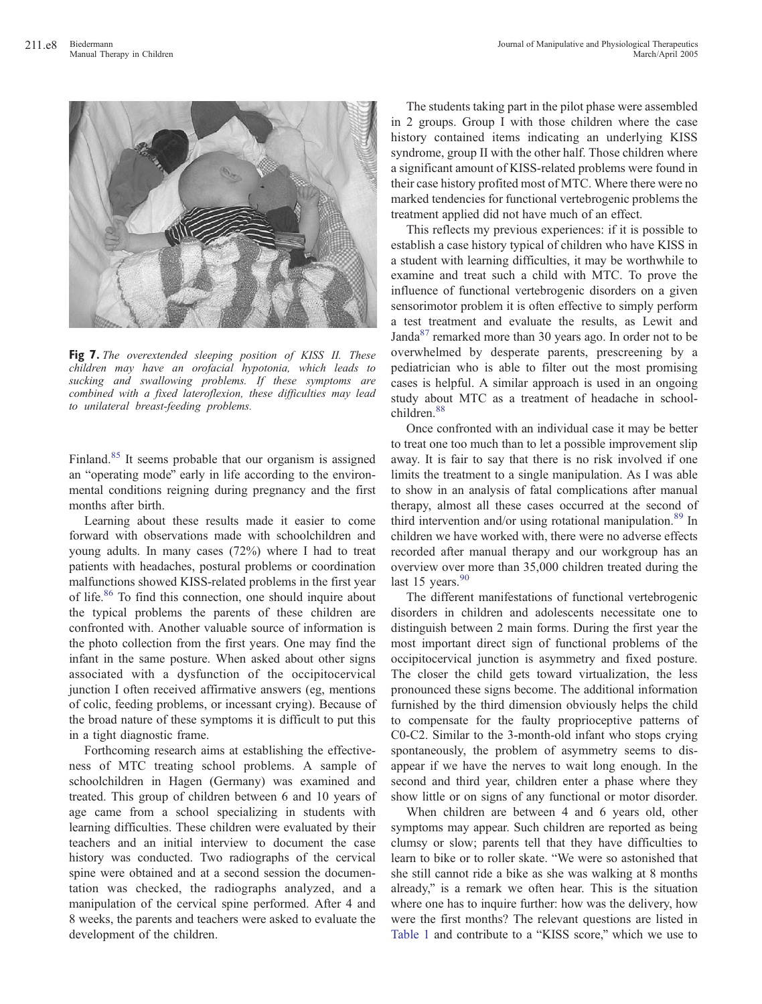

Fig 7. The overextended sleeping position of KISS II. These children may have an orofacial hypotonia, which leads to sucking and swallowing problems. If these symptoms are combined with a fixed lateroflexion, these difficulties may lead to unilateral breast-feeding problems.

Finland.<sup>85</sup> [It](#page-14-0) seems probable that our organism is assigned an "operating mode" early in life according to the environmental conditions reigning during pregnancy and the first months after birth.

Learning about these results made it easier to come forward with observations made with schoolchildren and young adults. In many cases (72%) where I had to treat patients with headaches, postural problems or coordination malf[unction](#page-14-0)s showed KISS-related problems in the first year of life.<sup>86</sup> To find this connection, one should inquire about the typical problems the parents of these children are confronted with. Another valuable source of information is the photo collection from the first years. One may find the infant in the same posture. When asked about other signs associated with a dysfunction of the occipitocervical junction I often received affirmative answers (eg, mentions of colic, feeding problems, or incessant crying). Because of the broad nature of these symptoms it is difficult to put this in a tight diagnostic frame.

Forthcoming research aims at establishing the effectiveness of MTC treating school problems. A sample of schoolchildren in Hagen (Germany) was examined and treated. This group of children between 6 and 10 years of age came from a school specializing in students with learning difficulties. These children were evaluated by their teachers and an initial interview to document the case history was conducted. Two radiographs of the cervical spine were obtained and at a second session the documentation was checked, the radiographs analyzed, and a manipulation of the cervical spine performed. After 4 and 8 weeks, the parents and teachers were asked to evaluate the development of the children.

The students taking part in the pilot phase were assembled in 2 groups. Group I with those children where the case history contained items indicating an underlying KISS syndrome, group II with the other half. Those children where a significant amount of KISS-related problems were found in their case history profited most of MTC. Where there were no marked tendencies for functional vertebrogenic problems the treatment applied did not have much of an effect.

This reflects my previous experiences: if it is possible to establish a case history typical of children who have KISS in a student with learning difficulties, it may be worthwhile to examine and treat such a child with MTC. To prove the influence of functional vertebrogenic disorders on a given sensorimotor problem it is often effective to simply perform a test treatment and evaluate the results, as Lewit and Janda<sup>[87](#page-14-0)</sup> remarked more than 30 years ago. In order not to be overwhelmed by desperate parents, prescreening by a pediatrician who is able to filter out the most promising cases is helpful. A similar approach is used in an ongoing study about MTC as a treatment of headache in schoolchildr[en.](#page-14-0)<sup>88</sup>

Once confronted with an individual case it may be better to treat one too much than to let a possible improvement slip away. It is fair to say that there is no risk involved if one limits the treatment to a single manipulation. As I was able to show in an analysis of fatal complications after manual therapy, almost all these cases occurred at the second of third intervention and/or using rotational manipulation.<sup>89</sup> [In](#page-14-0) children we have worked with, there were no adverse effects recorded after manual therapy and our workgroup has an overview over more than 35,000 children treated during the last 15 years. $90$ 

The different manifestations of functional vertebrogenic disorders in children and adolescents necessitate one to distinguish between 2 main forms. During the first year the most important direct sign of functional problems of the occipitocervical junction is asymmetry and fixed posture. The closer the child gets toward virtualization, the less pronounced these signs become. The additional information furnished by the third dimension obviously helps the child to compensate for the faulty proprioceptive patterns of C0-C2. Similar to the 3-month-old infant who stops crying spontaneously, the problem of asymmetry seems to disappear if we have the nerves to wait long enough. In the second and third year, children enter a phase where they show little or on signs of any functional or motor disorder.

When children are between 4 and 6 years old, other symptoms may appear. Such children are reported as being clumsy or slow; parents tell that they have difficulties to learn to bike or to roller skate. "We were so astonished that she still cannot ride a bike as she was walking at 8 months already," is a remark we often hear. This is the situation where one has to inquire further: how was the delivery, how were the first months? The relevant questions are listed in [Table 1](#page-9-0) and contribute to a "KISS score," which we use to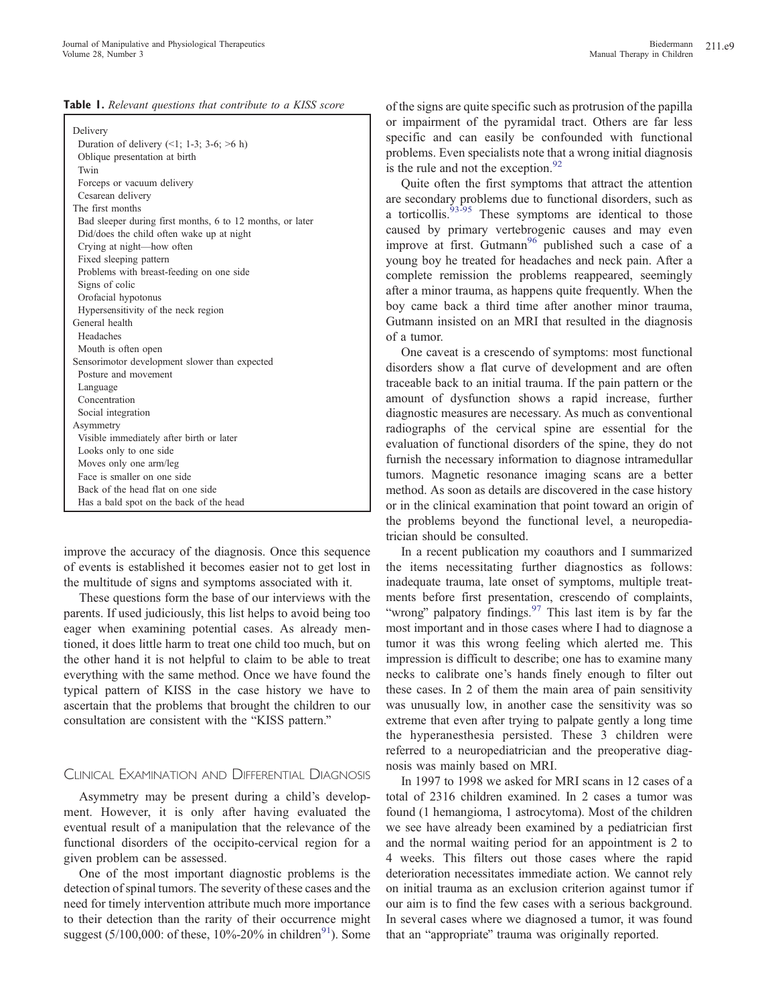<span id="page-9-0"></span>

|  |  |  |  |  | Table 1. Relevant questions that contribute to a KISS score |  |  |  |  |
|--|--|--|--|--|-------------------------------------------------------------|--|--|--|--|
|--|--|--|--|--|-------------------------------------------------------------|--|--|--|--|

| Delivery<br>Duration of delivery $(1; 1-3; 3-6; >6 h)$<br>Oblique presentation at birth<br>Twin<br>Forceps or vacuum delivery |
|-------------------------------------------------------------------------------------------------------------------------------|
| Cesarean delivery                                                                                                             |
| The first months                                                                                                              |
| Bad sleeper during first months, 6 to 12 months, or later                                                                     |
| Did/does the child often wake up at night                                                                                     |
| Crying at night—how often                                                                                                     |
| Fixed sleeping pattern                                                                                                        |
| Problems with breast-feeding on one side                                                                                      |
| Signs of colic                                                                                                                |
| Orofacial hypotonus                                                                                                           |
| Hypersensitivity of the neck region                                                                                           |
| General health                                                                                                                |
| Headaches                                                                                                                     |
| Mouth is often open                                                                                                           |
| Sensorimotor development slower than expected                                                                                 |
| Posture and movement                                                                                                          |
| Language                                                                                                                      |
| Concentration                                                                                                                 |
| Social integration                                                                                                            |
| Asymmetry                                                                                                                     |
| Visible immediately after birth or later                                                                                      |
| Looks only to one side                                                                                                        |
| Moves only one arm/leg                                                                                                        |
| Face is smaller on one side                                                                                                   |
| Back of the head flat on one side                                                                                             |
| Has a bald spot on the back of the head                                                                                       |

improve the accuracy of the diagnosis. Once this sequence of events is established it becomes easier not to get lost in the multitude of signs and symptoms associated with it.

These questions form the base of our interviews with the parents. If used judiciously, this list helps to avoid being too eager when examining potential cases. As already mentioned, it does little harm to treat one child too much, but on the other hand it is not helpful to claim to be able to treat everything with the same method. Once we have found the typical pattern of KISS in the case history we have to ascertain that the problems that brought the children to our consultation are consistent with the "KISS pattern."

### CLINICAL EXAMINATION AND DIFFERENTIAL DIAGNOSIS

Asymmetry may be present during a child's development. However, it is only after having evaluated the eventual result of a manipulation that the relevance of the functional disorders of the occipito-cervical region for a given problem can be assessed.

One of the most important diagnostic problems is the detection of spinal tumors. The severity of these cases and the need for timely intervention attribute much more importance to their detection than the rarity of their occurrence might suggest  $(5/100,000)$ : of these,  $10\%$ -20% in children<sup>91</sup>). [S](#page-14-0)ome of the signs are quite specific such as protrusion of the papilla or impairment of the pyramidal tract. Others are far less specific and can easily be confounded with functional problems. Even specialists note that a wrong initial diagnosis is the rule and not the exception. $92$ 

Quite often the first symptoms that attract the attention are secondary problems due to functional disorders, such as a torticollis.  $93-95$  These symptoms are identical to those caused by primary vertebrogenic causes and may even improve at first. Gutma[nn](#page-15-0)<sup>96</sup> published such a case of a young boy he treated for headaches and neck pain. After a complete remission the problems reappeared, seemingly after a minor trauma, as happens quite frequently. When the boy came back a third time after another minor trauma, Gutmann insisted on an MRI that resulted in the diagnosis of a tumor.

One caveat is a crescendo of symptoms: most functional disorders show a flat curve of development and are often traceable back to an initial trauma. If the pain pattern or the amount of dysfunction shows a rapid increase, further diagnostic measures are necessary. As much as conventional radiographs of the cervical spine are essential for the evaluation of functional disorders of the spine, they do not furnish the necessary information to diagnose intramedullar tumors. Magnetic resonance imaging scans are a better method. As soon as details are discovered in the case history or in the clinical examination that point toward an origin of the problems beyond the functional level, a neuropediatrician should be consulted.

In a recent publication my coauthors and I summarized the items necessitating further diagnostics as follows: inadequate trauma, late onset of symptoms, multiple treatments before first presentation, crescendo of complaints, "wrong" palpatory findings.  $97$  This last item is by far the most important and in those cases where I had to diagnose a tumor it was this wrong feeling which alerted me. This impression is difficult to describe; one has to examine many necks to calibrate one's hands finely enough to filter out these cases. In 2 of them the main area of pain sensitivity was unusually low, in another case the sensitivity was so extreme that even after trying to palpate gently a long time the hyperanesthesia persisted. These 3 children were referred to a neuropediatrician and the preoperative diagnosis was mainly based on MRI.

In 1997 to 1998 we asked for MRI scans in 12 cases of a total of 2316 children examined. In 2 cases a tumor was found (1 hemangioma, 1 astrocytoma). Most of the children we see have already been examined by a pediatrician first and the normal waiting period for an appointment is 2 to 4 weeks. This filters out those cases where the rapid deterioration necessitates immediate action. We cannot rely on initial trauma as an exclusion criterion against tumor if our aim is to find the few cases with a serious background. In several cases where we diagnosed a tumor, it was found that an "appropriate" trauma was originally reported.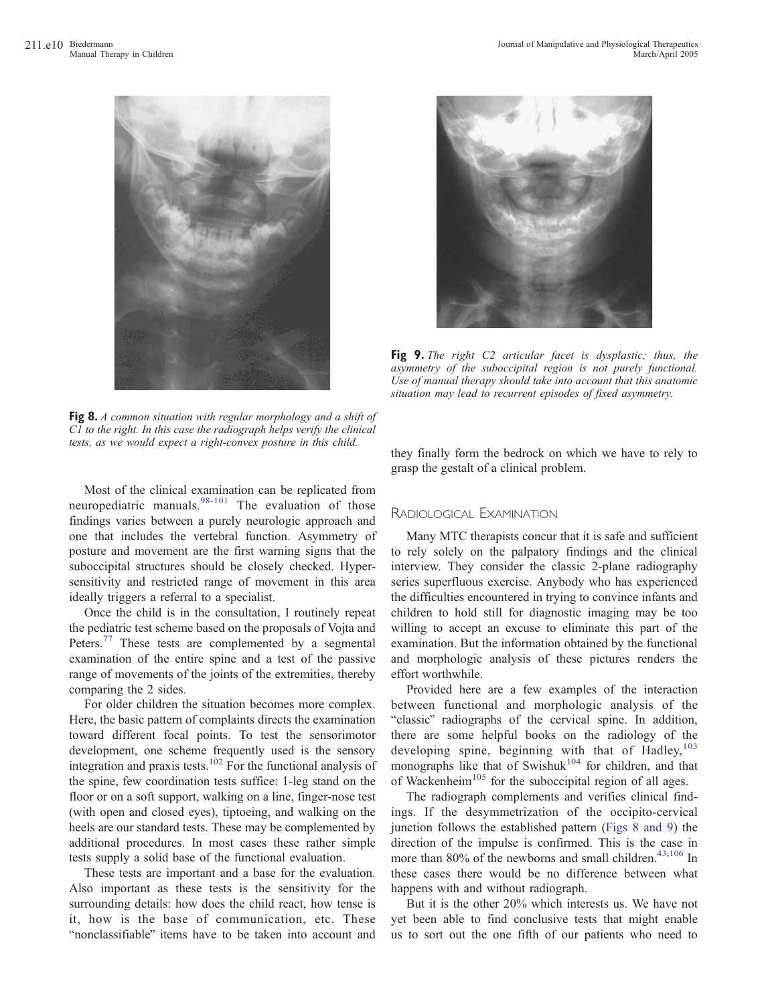

Fig 8. A common situation with regular morphology and a shift of C1 to the right. In this case the radiograph helps verify the clinical tests, as we would expect a right-convex posture in this child.

Most of the clinical examination can be replicated from neuropediatric manuals. $98-101$  The evaluation of those findings varies between a purely neurologic approach and one that includes the vertebral function. Asymmetry of posture and movement are the first warning signs that the suboccipital structures should be closely checked. Hypersensitivity and restricted range of movement in this area ideally triggers a referral to a specialist.

Once the child is in the consultation, I routinely repeat the pediatric test scheme based on the proposals of Vojta and Peters.<sup>[77](#page-14-0)</sup> These tests are complemented by a segmental examination of the entire spine and a test of the passive range of movements of the joints of the extremities, thereby comparing the 2 sides.

For older children the situation becomes more complex. Here, the basic pattern of complaints directs the examination toward different focal points. To test the sensorimotor development, one scheme frequently used is the sensory integration and praxis tests.<sup>[102](#page-15-0)</sup> For the functional analysis of the spine, few coordination tests suffice: 1-leg stand on the floor or on a soft support, walking on a line, finger-nose test (with open and closed eyes), tiptoeing, and walking on the heels are our standard tests. These may be complemented by additional procedures. In most cases these rather simple tests supply a solid base of the functional evaluation.

These tests are important and a base for the evaluation. Also important as these tests is the sensitivity for the surrounding details: how does the child react, how tense is it, how is the base of communication, etc. These "nonclassifiable" items have to be taken into account and



Fig 9. The right C2 articular facet is dysplastic; thus, the asymmetry of the suboccipital region is not purely functional. Use of manual therapy should take into account that this anatomic situation may lead to recurrent episodes of fixed asymmetry.

they finally form the bedrock on which we have to rely to grasp the gestalt of a clinical problem.

#### RADIOLOGICAL EXAMINATION

Many MTC therapists concur that it is safe and sufficient to rely solely on the palpatory findings and the clinical interview. They consider the classic 2-plane radiography series superfluous exercise. Anybody who has experienced the difficulties encountered in trying to convince infants and children to hold still for diagnostic imaging may be too willing to accept an excuse to eliminate this part of the examination. But the information obtained by the functional and morphologic analysis of these pictures renders the effort worthwhile.

Provided here are a few examples of the interaction between functional and morphologic analysis of the "classic" radiographs of the cervical spine. In addition, there are some helpful books on the radiology o[f the](#page-15-0) developing spine, beginning with that of Hadley,  $103$ monographs like that of Swishuk<sup>[104](#page-15-0)</sup> for children, and that of Wackenheim<sup>[105](#page-15-0)</sup> for the suboccipital region of all ages.

The radiograph complements and verifies clinical findings. If the desymmetrization of the occipito-cervical junction follows the established pattern (Figs 8 and 9) the direction of the impulse is confirmed. This is the case in more than 80% of the newborns and small children. $43,106$  In these cases there would be no difference between what happens with and without radiograph.

But it is the other 20% which interests us. We have not yet been able to find conclusive tests that might enable us to sort out the one fifth of our patients who need to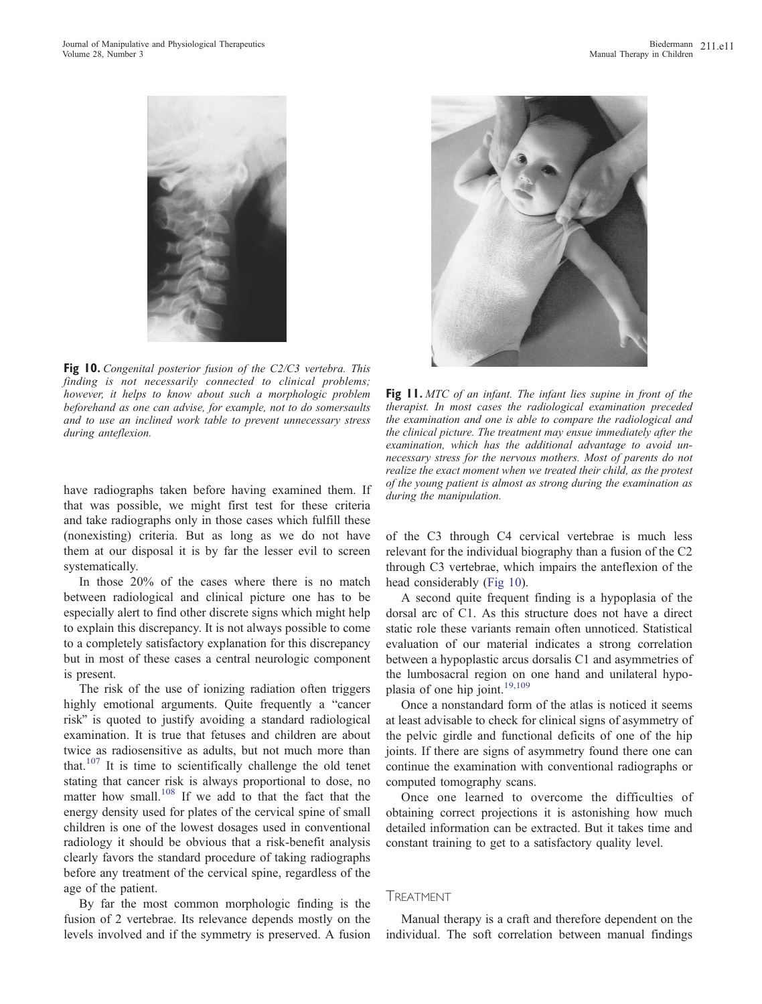<span id="page-11-0"></span>

Fig 10. Congenital posterior fusion of the C2/C3 vertebra. This finding is not necessarily connected to clinical problems; however, it helps to know about such a morphologic problem beforehand as one can advise, for example, not to do somersaults and to use an inclined work table to prevent unnecessary stress during anteflexion.

have radiographs taken before having examined them. If that was possible, we might first test for these criteria and take radiographs only in those cases which fulfill these (nonexisting) criteria. But as long as we do not have them at our disposal it is by far the lesser evil to screen systematically.

In those 20% of the cases where there is no match between radiological and clinical picture one has to be especially alert to find other discrete signs which might help to explain this discrepancy. It is not always possible to come to a completely satisfactory explanation for this discrepancy but in most of these cases a central neurologic component is present.

The risk of the use of ionizing radiation often triggers highly emotional arguments. Quite frequently a "cancer risk" is quoted to justify avoiding a standard radiological examination. It is true that fetuses and children are about twi[ce as](#page-15-0) radiosensitive as adults, but not much more than that.<sup>107</sup> It is time to scientifically challenge the old tenet stating that cancer risk is always proportional to dose, no matter how small.<sup>[108](#page-15-0)</sup> If we add to that the fact that the energy density used for plates of the cervical spine of small children is one of the lowest dosages used in conventional radiology it should be obvious that a risk-benefit analysis clearly favors the standard procedure of taking radiographs before any treatment of the cervical spine, regardless of the age of the patient.

By far the most common morphologic finding is the fusion of 2 vertebrae. Its relevance depends mostly on the levels involved and if the symmetry is preserved. A fusion



Fig 11. MTC of an infant. The infant lies supine in front of the therapist. In most cases the radiological examination preceded the examination and one is able to compare the radiological and the clinical picture. The treatment may ensue immediately after the examination, which has the additional advantage to avoid unnecessary stress for the nervous mothers. Most of parents do not realize the exact moment when we treated their child, as the protest of the young patient is almost as strong during the examination as during the manipulation.

of the C3 through C4 cervical vertebrae is much less relevant for the individual biography than a fusion of the C2 through C3 vertebrae, which impairs the anteflexion of the head considerably (Fig 10).

A second quite frequent finding is a hypoplasia of the dorsal arc of C1. As this structure does not have a direct static role these variants remain often unnoticed. Statistical evaluation of our material indicates a strong correlation between a hypoplastic arcus dorsalis C1 and asymmetries of the lumbosacral region on one hand and unilateral hypo-plasia of one hip joint.<sup>[19,109](#page-13-0)</sup>

Once a nonstandard form of the atlas is noticed it seems at least advisable to check for clinical signs of asymmetry of the pelvic girdle and functional deficits of one of the hip joints. If there are signs of asymmetry found there one can continue the examination with conventional radiographs or computed tomography scans.

Once one learned to overcome the difficulties of obtaining correct projections it is astonishing how much detailed information can be extracted. But it takes time and constant training to get to a satisfactory quality level.

#### TREATMENT

Manual therapy is a craft and therefore dependent on the individual. The soft correlation between manual findings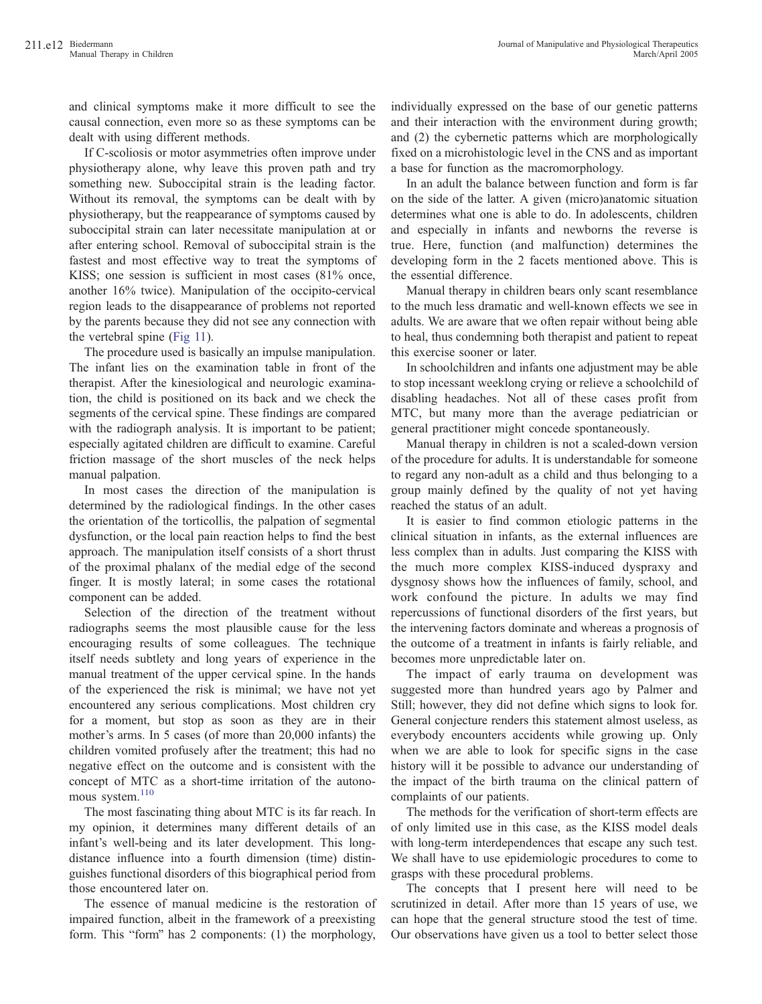and clinical symptoms make it more difficult to see the causal connection, even more so as these symptoms can be dealt with using different methods.

If C-scoliosis or motor asymmetries often improve under physiotherapy alone, why leave this proven path and try something new. Suboccipital strain is the leading factor. Without its removal, the symptoms can be dealt with by physiotherapy, but the reappearance of symptoms caused by suboccipital strain can later necessitate manipulation at or after entering school. Removal of suboccipital strain is the fastest and most effective way to treat the symptoms of KISS; one session is sufficient in most cases (81% once, another 16% twice). Manipulation of the occipito-cervical region leads to the disappearance of problems not reported by the parents because they did not see any connection with the vertebral spine ([Fig 11\)](#page-11-0).

The procedure used is basically an impulse manipulation. The infant lies on the examination table in front of the therapist. After the kinesiological and neurologic examination, the child is positioned on its back and we check the segments of the cervical spine. These findings are compared with the radiograph analysis. It is important to be patient; especially agitated children are difficult to examine. Careful friction massage of the short muscles of the neck helps manual palpation.

In most cases the direction of the manipulation is determined by the radiological findings. In the other cases the orientation of the torticollis, the palpation of segmental dysfunction, or the local pain reaction helps to find the best approach. The manipulation itself consists of a short thrust of the proximal phalanx of the medial edge of the second finger. It is mostly lateral; in some cases the rotational component can be added.

Selection of the direction of the treatment without radiographs seems the most plausible cause for the less encouraging results of some colleagues. The technique itself needs subtlety and long years of experience in the manual treatment of the upper cervical spine. In the hands of the experienced the risk is minimal; we have not yet encountered any serious complications. Most children cry for a moment, but stop as soon as they are in their mother's arms. In 5 cases (of more than 20,000 infants) the children vomited profusely after the treatment; this had no negative effect on the outcome and is consistent with the concept of MTC as a short-time irritation of the autonomous system.<sup>110</sup>

The most fascinating thing about MTC is its far reach. In my opinion, it determines many different details of an infant's well-being and its later development. This longdistance influence into a fourth dimension (time) distinguishes functional disorders of this biographical period from those encountered later on.

The essence of manual medicine is the restoration of impaired function, albeit in the framework of a preexisting form. This "form" has 2 components:  $(1)$  the morphology,

individually expressed on the base of our genetic patterns and their interaction with the environment during growth; and (2) the cybernetic patterns which are morphologically fixed on a microhistologic level in the CNS and as important a base for function as the macromorphology.

In an adult the balance between function and form is far on the side of the latter. A given (micro)anatomic situation determines what one is able to do. In adolescents, children and especially in infants and newborns the reverse is true. Here, function (and malfunction) determines the developing form in the 2 facets mentioned above. This is the essential difference.

Manual therapy in children bears only scant resemblance to the much less dramatic and well-known effects we see in adults. We are aware that we often repair without being able to heal, thus condemning both therapist and patient to repeat this exercise sooner or later.

In schoolchildren and infants one adjustment may be able to stop incessant weeklong crying or relieve a schoolchild of disabling headaches. Not all of these cases profit from MTC, but many more than the average pediatrician or general practitioner might concede spontaneously.

Manual therapy in children is not a scaled-down version of the procedure for adults. It is understandable for someone to regard any non-adult as a child and thus belonging to a group mainly defined by the quality of not yet having reached the status of an adult.

It is easier to find common etiologic patterns in the clinical situation in infants, as the external influences are less complex than in adults. Just comparing the KISS with the much more complex KISS-induced dyspraxy and dysgnosy shows how the influences of family, school, and work confound the picture. In adults we may find repercussions of functional disorders of the first years, but the intervening factors dominate and whereas a prognosis of the outcome of a treatment in infants is fairly reliable, and becomes more unpredictable later on.

The impact of early trauma on development was suggested more than hundred years ago by Palmer and Still; however, they did not define which signs to look for. General conjecture renders this statement almost useless, as everybody encounters accidents while growing up. Only when we are able to look for specific signs in the case history will it be possible to advance our understanding of the impact of the birth trauma on the clinical pattern of complaints of our patients.

The methods for the verification of short-term effects are of only limited use in this case, as the KISS model deals with long-term interdependences that escape any such test. We shall have to use epidemiologic procedures to come to grasps with these procedural problems.

The concepts that I present here will need to be scrutinized in detail. After more than 15 years of use, we can hope that the general structure stood the test of time. Our observations have given us a tool to better select those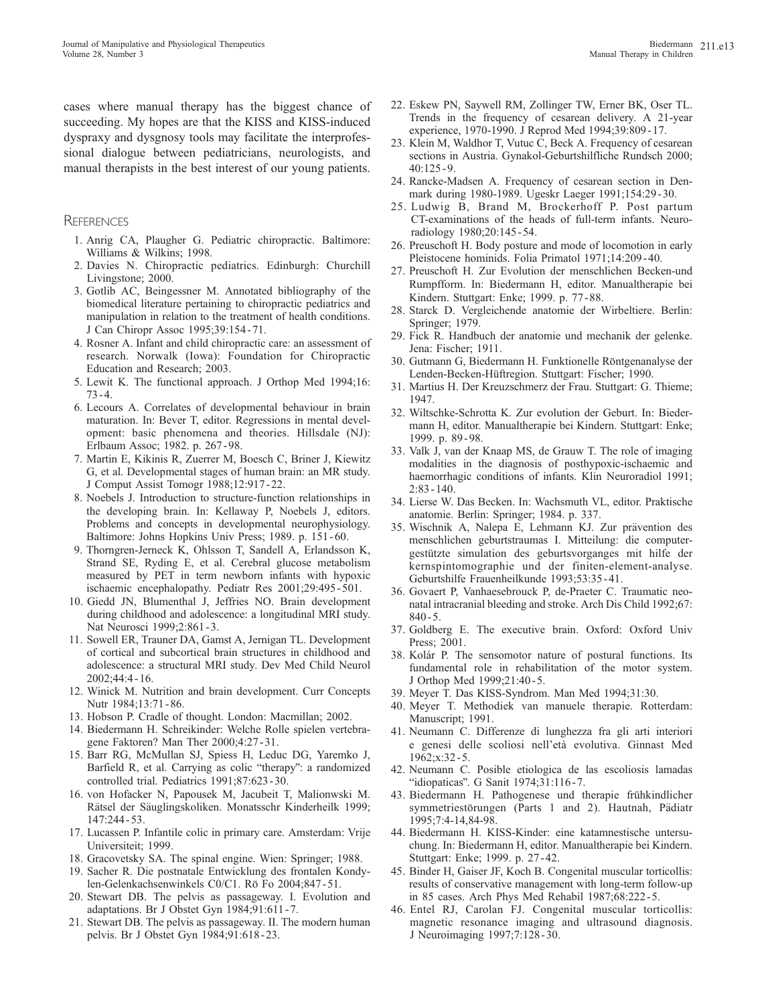<span id="page-13-0"></span>cases where manual therapy has the biggest chance of succeeding. My hopes are that the KISS and KISS-induced dyspraxy and dysgnosy tools may facilitate the interprofessional dialogue between pediatricians, neurologists, and manual therapists in the best interest of our young patients.

#### **REFERENCES**

- 1. Anrig CA, Plaugher G. Pediatric chiropractic. Baltimore: Williams & Wilkins; 1998.
- 2. Davies N. Chiropractic pediatrics. Edinburgh: Churchill Livingstone; 2000.
- 3. Gotlib AC, Beingessner M. Annotated bibliography of the biomedical literature pertaining to chiropractic pediatrics and manipulation in relation to the treatment of health conditions. J Can Chiropr Assoc 1995;39:154 - 71.
- 4. Rosner A. Infant and child chiropractic care: an assessment of research. Norwalk (Iowa): Foundation for Chiropractic Education and Research; 2003.
- 5. Lewit K. The functional approach. J Orthop Med 1994;16:  $73 - 4.$
- 6. Lecours A. Correlates of developmental behaviour in brain maturation. In: Bever T, editor. Regressions in mental development: basic phenomena and theories. Hillsdale (NJ): Erlbaum Assoc; 1982. p. 267 - 98.
- 7. Martin E, Kikinis R, Zuerrer M, Boesch C, Briner J, Kiewitz G, et al. Developmental stages of human brain: an MR study. J Comput Assist Tomogr 1988;12:917 - 22.
- 8. Noebels J. Introduction to structure-function relationships in the developing brain. In: Kellaway P, Noebels J, editors. Problems and concepts in developmental neurophysiology. Baltimore: Johns Hopkins Univ Press; 1989. p. 151-60.
- 9. Thorngren-Jerneck K, Ohlsson T, Sandell A, Erlandsson K, Strand SE, Ryding E, et al. Cerebral glucose metabolism measured by PET in term newborn infants with hypoxic ischaemic encephalopathy. Pediatr Res 2001;29:495 - 501.
- 10. Giedd JN, Blumenthal J, Jeffries NO. Brain development during childhood and adolescence: a longitudinal MRI study. Nat Neurosci 1999;2:861-3.
- 11. Sowell ER, Trauner DA, Gamst A, Jernigan TL. Development of cortical and subcortical brain structures in childhood and adolescence: a structural MRI study. Dev Med Child Neurol 2002;44:4 - 16.
- 12. Winick M. Nutrition and brain development. Curr Concepts Nutr 1984;13:71 - 86.
- 13. Hobson P. Cradle of thought. London: Macmillan; 2002.
- 14. Biedermann H. Schreikinder: Welche Rolle spielen vertebragene Faktoren? Man Ther 2000;4:27 - 31.
- 15. Barr RG, McMullan SJ, Spiess H, Leduc DG, Yaremko J, Barfield R, et al. Carrying as colic "therapy": a randomized controlled trial. Pediatrics 1991;87:623 - 30.
- 16. von Hofacker N, Papousek M, Jacubeit T, Malionwski M. Rätsel der Säuglingskoliken. Monatsschr Kinderheilk 1999; 147:244 - 53.
- 17. Lucassen P. Infantile colic in primary care. Amsterdam: Vrije Universiteit; 1999.
- 18. Gracovetsky SA. The spinal engine. Wien: Springer; 1988.
- 19. Sacher R. Die postnatale Entwicklung des frontalen Kondylen-Gelenkachsenwinkels C0/C1. Rö Fo 2004;847-51.
- 20. Stewart DB. The pelvis as passageway. I. Evolution and adaptations. Br J Obstet Gyn 1984;91:611 - 7.
- 21. Stewart DB. The pelvis as passageway. II. The modern human pelvis. Br J Obstet Gyn 1984;91:618 - 23.
- 22. Eskew PN, Saywell RM, Zollinger TW, Erner BK, Oser TL. Trends in the frequency of cesarean delivery. A 21-year experience, 1970-1990. J Reprod Med 1994;39:809 - 17.
- 23. Klein M, Waldhor T, Vutuc C, Beck A. Frequency of cesarean sections in Austria. Gynakol-Geburtshilfliche Rundsch 2000; 40:125 - 9.
- 24. Rancke-Madsen A. Frequency of cesarean section in Denmark during 1980-1989. Ugeskr Laeger 1991;154:29 - 30.
- 25. Ludwig B, Brand M, Brockerhoff P. Post partum CT-examinations of the heads of full-term infants. Neuroradiology 1980;20:145 - 54.
- 26. Preuschoft H. Body posture and mode of locomotion in early Pleistocene hominids. Folia Primatol 1971;14:209 - 40.
- 27. Preuschoft H. Zur Evolution der menschlichen Becken-und Rumpfform. In: Biedermann H, editor. Manualtherapie bei Kindern. Stuttgart: Enke; 1999. p. 77-88.
- 28. Starck D. Vergleichende anatomie der Wirbeltiere. Berlin: Springer; 1979.
- 29. Fick R. Handbuch der anatomie und mechanik der gelenke. Jena: Fischer; 1911.
- 30. Gutmann G, Biedermann H. Funktionelle Röntgenanalyse der Lenden-Becken-Hüftregion. Stuttgart: Fischer; 1990.
- 31. Martius H. Der Kreuzschmerz der Frau. Stuttgart: G. Thieme; 1947.
- 32. Wiltschke-Schrotta K. Zur evolution der Geburt. In: Biedermann H, editor. Manualtherapie bei Kindern. Stuttgart: Enke; 1999. p. 89 - 98.
- 33. Valk J, van der Knaap MS, de Grauw T. The role of imaging modalities in the diagnosis of posthypoxic-ischaemic and haemorrhagic conditions of infants. Klin Neuroradiol 1991; 2:83 - 140.
- 34. Lierse W. Das Becken. In: Wachsmuth VL, editor. Praktische anatomie. Berlin: Springer; 1984. p. 337.
- 35. Wischnik A, Nalepa E, Lehmann KJ. Zur prävention des menschlichen geburtstraumas I. Mitteilung: die computergestützte simulation des geburtsvorganges mit hilfe der kernspintomographie und der finiten-element-analyse. Geburtshilfe Frauenheilkunde 1993;53:35 - 41.
- 36. Govaert P, Vanhaesebrouck P, de-Praeter C. Traumatic neonatal intracranial bleeding and stroke. Arch Dis Child 1992;67: 840 - 5.
- 37. Goldberg E. The executive brain. Oxford: Oxford Univ Press; 2001.
- 38. Kolár P. The sensomotor nature of postural functions. Its fundamental role in rehabilitation of the motor system. J Orthop Med 1999;21:40 - 5.
- 39. Meyer T. Das KISS-Syndrom. Man Med 1994;31:30.
- 40. Meyer T. Methodiek van manuele therapie. Rotterdam: Manuscript; 1991.
- 41. Neumann C. Differenze di lunghezza fra gli arti interiori e genesi delle scoliosi nell'eta` evolutiva. Ginnast Med 1962;x:32 - 5.
- 42. Neumann C. Posible etiologica de las escoliosis lamadas "idiopaticas". G Sanit 1974;31:116 - 7.
- 43. Biedermann H. Pathogenese und therapie frühkindlicher symmetriestörungen (Parts 1 and 2). Hautnah, Pädiatr  $1995.7.4 - 14.84 - 98$
- 44. Biedermann H. KISS-Kinder: eine katamnestische untersuchung. In: Biedermann H, editor. Manualtherapie bei Kindern. Stuttgart: Enke; 1999. p. 27 - 42.
- 45. Binder H, Gaiser JF, Koch B. Congenital muscular torticollis: results of conservative management with long-term follow-up in 85 cases. Arch Phys Med Rehabil 1987;68:222-5.
- 46. Entel RJ, Carolan FJ. Congenital muscular torticollis: magnetic resonance imaging and ultrasound diagnosis. J Neuroimaging 1997;7:128 - 30.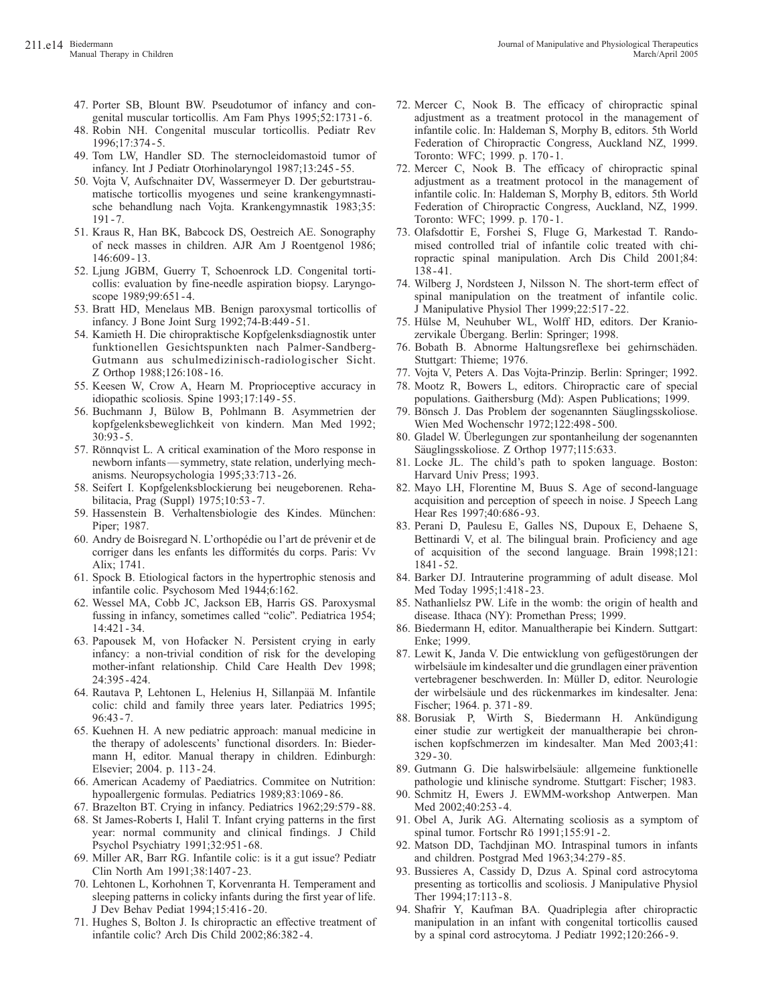- <span id="page-14-0"></span>47. Porter SB, Blount BW. Pseudotumor of infancy and congenital muscular torticollis. Am Fam Phys 1995;52:1731 - 6.
- 48. Robin NH. Congenital muscular torticollis. Pediatr Rev 1996;17:374 - 5.
- 49. Tom LW, Handler SD. The sternocleidomastoid tumor of infancy. Int J Pediatr Otorhinolaryngol 1987;13:245 - 55.
- 50. Vojta V, Aufschnaiter DV, Wassermeyer D. Der geburtstraumatische torticollis myogenes und seine krankengymnastische behandlung nach Vojta. Krankengymnastik 1983;35: 191 - 7.
- 51. Kraus R, Han BK, Babcock DS, Oestreich AE. Sonography of neck masses in children. AJR Am J Roentgenol 1986; 146:609 - 13.
- 52. Ljung JGBM, Guerry T, Schoenrock LD. Congenital torticollis: evaluation by fine-needle aspiration biopsy. Laryngoscope 1989;99:651 - 4.
- 53. Bratt HD, Menelaus MB. Benign paroxysmal torticollis of infancy. J Bone Joint Surg 1992;74-B:449 - 51.
- 54. Kamieth H. Die chiropraktische Kopfgelenksdiagnostik unter funktionellen Gesichtspunkten nach Palmer-Sandberg-Gutmann aus schulmedizinisch-radiologischer Sicht. Z Orthop 1988;126:108 - 16.
- 55. Keesen W, Crow A, Hearn M. Proprioceptive accuracy in idiopathic scoliosis. Spine 1993;17:149-55.
- 56. Buchmann J, Bülow B, Pohlmann B. Asymmetrien der kopfgelenksbeweglichkeit von kindern. Man Med 1992; 30:93 - 5.
- 57. Rönnqvist L. A critical examination of the Moro response in newborn infants— symmetry, state relation, underlying mechanisms. Neuropsychologia 1995;33:713 - 26.
- 58. Seifert I. Kopfgelenksblockierung bei neugeborenen. Rehabilitacia, Prag (Suppl) 1975;10:53 - 7.
- 59. Hassenstein B. Verhaltensbiologie des Kindes. München: Piper; 1987.
- 60. Andry de Boisregard N. L'orthopédie ou l'art de prévenir et de corriger dans les enfants les difformités du corps. Paris: Vv Alix; 1741.
- 61. Spock B. Etiological factors in the hypertrophic stenosis and infantile colic. Psychosom Med 1944;6:162.
- 62. Wessel MA, Cobb JC, Jackson EB, Harris GS. Paroxysmal fussing in infancy, sometimes called "colic". Pediatrica 1954; 14:421 - 34.
- 63. Papousek M, von Hofacker N. Persistent crying in early infancy: a non-trivial condition of risk for the developing mother-infant relationship. Child Care Health Dev 1998; 24:395 - 424.
- 64. Rautava P, Lehtonen L, Helenius H, Sillanpää M. Infantile colic: child and family three years later. Pediatrics 1995;  $96.43 - 7$
- 65. Kuehnen H. A new pediatric approach: manual medicine in the therapy of adolescents' functional disorders. In: Biedermann H, editor. Manual therapy in children. Edinburgh: Elsevier; 2004. p. 113 - 24.
- 66. American Academy of Paediatrics. Commitee on Nutrition: hypoallergenic formulas. Pediatrics 1989;83:1069 - 86.
- 67. Brazelton BT. Crying in infancy. Pediatrics 1962;29:579 88.
- 68. St James-Roberts I, Halil T. Infant crying patterns in the first year: normal community and clinical findings. J Child Psychol Psychiatry 1991;32:951 - 68.
- 69. Miller AR, Barr RG. Infantile colic: is it a gut issue? Pediatr Clin North Am 1991;38:1407 - 23.
- 70. Lehtonen L, Korhohnen T, Korvenranta H. Temperament and sleeping patterns in colicky infants during the first year of life. J Dev Behav Pediat 1994;15:416 - 20.
- 71. Hughes S, Bolton J. Is chiropractic an effective treatment of infantile colic? Arch Dis Child 2002;86:382-4.
- 72. Mercer C, Nook B. The efficacy of chiropractic spinal adjustment as a treatment protocol in the management of infantile colic. In: Haldeman S, Morphy B, editors. 5th World Federation of Chiropractic Congress, Auckland NZ, 1999. Toronto: WFC; 1999. p. 170 - 1.
- 72. Mercer C, Nook B. The efficacy of chiropractic spinal adjustment as a treatment protocol in the management of infantile colic. In: Haldeman S, Morphy B, editors. 5th World Federation of Chiropractic Congress, Auckland, NZ, 1999. Toronto: WFC; 1999. p. 170 - 1.
- 73. Olafsdottir E, Forshei S, Fluge G, Markestad T. Randomised controlled trial of infantile colic treated with chiropractic spinal manipulation. Arch Dis Child 2001;84: 138 - 41.
- 74. Wilberg J, Nordsteen J, Nilsson N. The short-term effect of spinal manipulation on the treatment of infantile colic. J Manipulative Physiol Ther 1999;22:517 - 22.
- 75. Hülse M, Neuhuber WL, Wolff HD, editors. Der Kraniozervikale Übergang. Berlin: Springer; 1998.
- 76. Bobath B. Abnorme Haltungsreflexe bei gehirnschäden. Stuttgart: Thieme; 1976.
- 77. Vojta V, Peters A. Das Vojta-Prinzip. Berlin: Springer; 1992.
- 78. Mootz R, Bowers L, editors. Chiropractic care of special populations. Gaithersburg (Md): Aspen Publications; 1999.
- 79. Bönsch J. Das Problem der sogenannten Säuglingsskoliose. Wien Med Wochenschr 1972;122:498 - 500.
- 80. Gladel W. Überlegungen zur spontanheilung der sogenannten Säuglingsskoliose. Z Orthop 1977;115:633.
- 81. Locke JL. The child's path to spoken language. Boston: Harvard Univ Press; 1993.
- 82. Mayo LH, Florentine M, Buus S. Age of second-language acquisition and perception of speech in noise. J Speech Lang Hear Res 1997;40:686-93.
- 83. Perani D, Paulesu E, Galles NS, Dupoux E, Dehaene S, Bettinardi V, et al. The bilingual brain. Proficiency and age of acquisition of the second language. Brain 1998;121: 1841 - 52.
- 84. Barker DJ. Intrauterine programming of adult disease. Mol Med Today 1995;1:418 - 23.
- 85. Nathanlielsz PW. Life in the womb: the origin of health and disease. Ithaca (NY): Promethan Press; 1999.
- 86. Biedermann H, editor. Manualtherapie bei Kindern. Suttgart: Enke; 1999.
- 87. Lewit K, Janda V. Die entwicklung von gefügestörungen der wirbelsäule im kindesalter und die grundlagen einer prävention vertebragener beschwerden. In: Müller D, editor. Neurologie der wirbelsäule und des rückenmarkes im kindesalter. Jena: Fischer; 1964. p. 371 - 89.
- 88. Borusiak P, Wirth S, Biedermann H. Ankündigung einer studie zur wertigkeit der manualtherapie bei chronischen kopfschmerzen im kindesalter. Man Med 2003;41: 329 - 30.
- 89. Gutmann G. Die halswirbelsäule: allgemeine funktionelle pathologie und klinische syndrome. Stuttgart: Fischer; 1983.
- 90. Schmitz H, Ewers J. EWMM-workshop Antwerpen. Man Med 2002;40:253 - 4.
- 91. Obel A, Jurik AG. Alternating scoliosis as a symptom of spinal tumor. Fortschr Rö 1991;155:91-2.
- 92. Matson DD, Tachdjinan MO. Intraspinal tumors in infants and children. Postgrad Med 1963;34:279 - 85.
- 93. Bussieres A, Cassidy D, Dzus A. Spinal cord astrocytoma presenting as torticollis and scoliosis. J Manipulative Physiol Ther 1994;17:113 - 8.
- 94. Shafrir Y, Kaufman BA. Quadriplegia after chiropractic manipulation in an infant with congenital torticollis caused by a spinal cord astrocytoma. J Pediatr 1992;120:266 - 9.